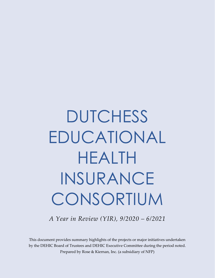# **DUTCHESS** EDUCATIONAL HEALTH INSURANCE CONSORTIUM

*A Year in Review (YIR), 9/2020 – 6/2021*

This document provides summary highlights of the projects or major initiatives undertaken by the DEHIC Board of Trustees and DEHIC Executive Committee during the period noted. Prepared by Rose & Kiernan, Inc. (a subsidiary of NFP)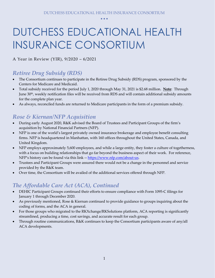# DUTCHESS EDUCATIONAL HEALTH INSURANCE CONSORTIUM

A Year in Review (YIR), 9/2020 – 6/2021

#### *Retiree Drug Subsidy (RDS)*

- The Consortium continues to participate in the Retiree Drug Subsidy (RDS) program, sponsored by the Centers for Medicare and Medicaid.
- Total subsidy received for the period July 1, 2020 through May 31, 2021 is \$2.68 million. **Note**: Through June 30th, weekly notification files will be received from RDS and will contain additional subsidy amounts for the complete plan year.
- As always, reconciled funds are returned to Medicare participants in the form of a premium subsidy.

#### *Rose & Kiernan/NFP Acquisition*

- During early August 2020, R&K advised the Board of Trustees and Participant Groups of the firm's acquisition by National Financial Partners (NFP).
- NFP is one of the world's largest privately owned insurance brokerage and employee benefit consulting firms. NFP is headquartered in Manhattan, with 160 offices throughout the United States, Canada, and United Kingdom.
- NFP employs approximately 5,600 employees, and while a large entity, they foster a culture of togetherness, with a focus on building relationships that go far beyond the business aspect of their work. For reference, NFP's history can be found via this link -- [https://www.nfp.com/about-us.](https://www.nfp.com/about-us)
- Trustees and Participant Groups were assured there would not be a change in the personnel and service provided by the R&K team.
- Over time, the Consortium will be availed of the additional services offered through NFP.

#### *The Affordable Care Act (ACA), Continued*

- DEHIC Participant Groups continued their efforts to ensure compliance with Form 1095-C filings for January 1 through December 2020.
- As previously mentioned, Rose & Kiernan continued to provide guidance to groups inquiring about the coding of forms, and the ACA in general.
- For those groups who migrated to the RKXchange/RKSolutions platform, ACA reporting is significantly streamlined, producing a time, cost savings, and accurate result for each group.
- Through routine communications, R&K continues to keep the Consortium participants aware of any/all ACA developments.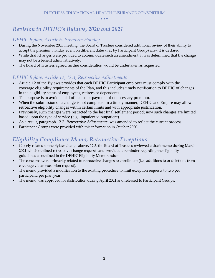#### *Revision to DEHIC's Bylaws, 2020 and 2021*

#### *DEHIC Bylaw, Article 6, Premium Holiday*

- During the November 2020 meeting, the Board of Trustees considered additional review of their ability to accept the premium holiday event on different dates (i.e., by Participant Group) *when* it is declared.
- While draft changes were provided to accommodate such an amendment, it was determined that the change may not be a benefit administratively.
- The Board of Trustees agreed further consideration would be undertaken as requested.

#### *DEHIC Bylaw, Article 12, 12.3, Retroactive Adjustments*

- Article 12 of the Bylaws provides that each DEHIC Participant employer must comply with the coverage eligibility requirements of the Plan, and this includes timely notification to DEHIC of changes in the eligibility status of employees, retirees or dependents.
- The purpose is to avoid denial of claims or payment of unnecessary premium.
- When the submission of a change is not completed in a timely manner, DEHIC and Empire may allow retroactive eligibility changes within certain limits and with appropriate justification.
- Previously, such changes were restricted to the last final settlement period; now such changes are limited based upon the type of service (e.g., inpatient v. outpatient).
- As a result, paragraph 12.3, *Retroactive Adjustments*, was amended to reflect the current process.
- Participant Groups were provided with this information in October 2020.

#### *Eligibility Compliance Memo, Retroactive Exceptions*

- Closely related to the Bylaw change above, 12.3, the Board of Trustees reviewed a draft memo during March 2021 which outlined retroactive change requests and provided a reminder regarding the eligibility guidelines as outlined in the DEHIC Eligibility Memorandum.
- The concerns were primarily related to retroactive changes to enrollment (i.e., additions to or deletions from coverage via an exception request).
- The memo provided a modification to the existing procedure to limit exception requests to two per participant, per plan year.
- The memo was approved for distribution during April 2021 and released to Participant Groups.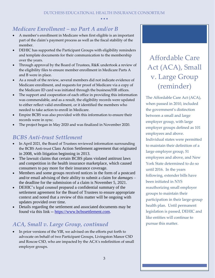#### *Medicare Enrollment – no Part A and/or B*

- A member's enrollment in Medicare when first eligible is an important part of the claim's payment process as well as the fiscal stability of the member.
- DEHIC has supported the Participant Groups with eligibility reminders and template documents for their communication to the membership over the years.
- Through approval by the Board of Trustees, R&K undertook a review of the eligibility files to ensure member enrollment in Medicare Parts A and B were in place.
- As a result of the review, several members did not indicate evidence of Medicare enrollment, and requests for proof of Medicare via a copy of the Medicare ID card was initiated through the business/HR offices.
- The support and cooperation of each office in providing this information was commendable, and as a result, the eligibility records were updated to either reflect valid enrollment, or it identified the members who needed to take action to enroll in Medicare.
- Empire BCBS was also provided with this information to ensure their records were in sync.
- The project began in May 2020 and was finalized in November 2020.

#### *BCBS Anti-trust Settlement*

- In April 2021, the Board of Trustees reviewed information surrounding the BCBS Anti-trust Class Action Settlement agreement that originated in 2008, with litigation beginning in 2013.
- The lawsuit claims that certain BCBS plans violated antitrust laws and competition in the health insurance marketplace, which caused consumers to pay more for their insurance coverage.
- Members and some groups received notices in the form of a postcard and/or email advising of their ability to submit a claim for *damages* – the deadline for the submission of a claim is November 5, 2021.
- DEHIC's legal counsel prepared a confidential summary of the settlement agreement for the Board of Trustees to ensure appropriate context and noted that a review of this matter will be ongoing with updates provided over time.
- Details regarding the settlement and associated documents may be found via this link -- [https://www.bcbssettlement.com.](https://www.bcbssettlement.com/)

#### *ACA, Small v. Large Group, continued*

• In prior versions of the YIR, we advised on the efforts put forth to advocate on behalf of two Participant Groups, Livingston Manor CSD and Roscoe CSD, who are impacted by the ACA's redefinition of small employer groups.

### v. Large Group (reminder) Affordable Care Act (ACA), Small

The Affordable Care Act (ACA), the government's distinction between a small and large  $\text{emplayer group},$  with large employer groups defined as 101 employees and above. Individual states were permitted to maintain their definition of a large employer group, 51  $\frac{1}{2}$  employees and above, and New York State determined to do so until 2016. In the years following, extender bills have been initiated in NYS reauthorizing small employer groups to maintain their oma<br>participation in their large-group their participation in the large-<br>health plan. Until permanent legislation is passed, DEHIC and like entities will continue to DEHIC and like entities will continue to pursue this matter. when passed in 2010, included pursue this matter.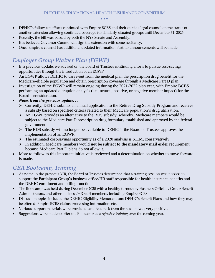- DEHIC's follow-up efforts continued with Empire BCBS and their outside legal counsel on the status of another extension allowing continued coverage for similarly situated groups until December 31, 2025.
- Recently, the bill was passed by both the NYS Senate and Assembly.
- It is believed Governor Cuomo will sign the extension with some hesitancy.
- Once Empire's counsel has additional updated information, further announcements will be made.

#### *Employer Group Waiver Plan (EGWP)*

- In a previous update, we advised on the Board of Trustees continuing efforts to pursue cost-savings opportunities through the introduction of an EGWP.
- An EGWP allows DEHIC to carve-out from the medical plan the prescription drug benefit for the Medicare-eligible population and obtain prescription coverage through a Medicare Part D plan.
- Investigation of the EGWP will remain ongoing during the 2021-2022 plan year, with Empire BCBS performing an updated disruption analysis (i.e., neutral, positive, or negative member impact) for the Board's consideration.
- *Notes from the previous update. . .*
	- $\triangleright$  Currently, DEHIC submits an annual application to the Retiree Drug Subsidy Program and receives a subsidy based on specified criteria related to their Medicare population's drug utilization.
	- $\triangleright$  An EGWP provides an alternative to the RDS subsidy; whereby, Medicare members would be subject to the Medicare Part D prescription drug formulary established and approved by the federal government.
	- ➢ The RDS subsidy will no longer be available to DEHIC if the Board of Trustees approves the implementation of an EGWP.
	- $\triangleright$  The estimated cost-savings opportunity as of a 2020 analysis is \$11M, conservatively.
	- ➢ In addition, Medicare members would **not be subject to the mandatory mail order** requirement because Medicare Part D plans do not allow it.
- More to follow as this important initiative is reviewed and a determination on whether to move forward is made.

#### *GBA Bootcamp, Training*

- As noted in the previous YIR, the Board of Trustees determined that a training session was needed to support the Participant Group's business office/HR staff responsible for health insurance benefits and the DEHIC enrollment and billing function.
- The Bootcamp was held during December 2020 with a healthy turnout by Business Officials, Group Benefit Administrators, and other business/HR staff members, including Empire BCBS.
- Discussion topics included the DEHIC Eligibility Memorandum; DEHIC's Benefit Plans and how they may be offered; Empire BCBS claims processing information; etc.
- Various support materials were provided, and feedback from the session was very positive.
- Suggestions were made to offer the Bootcamp as a *refresher training* over the coming year.